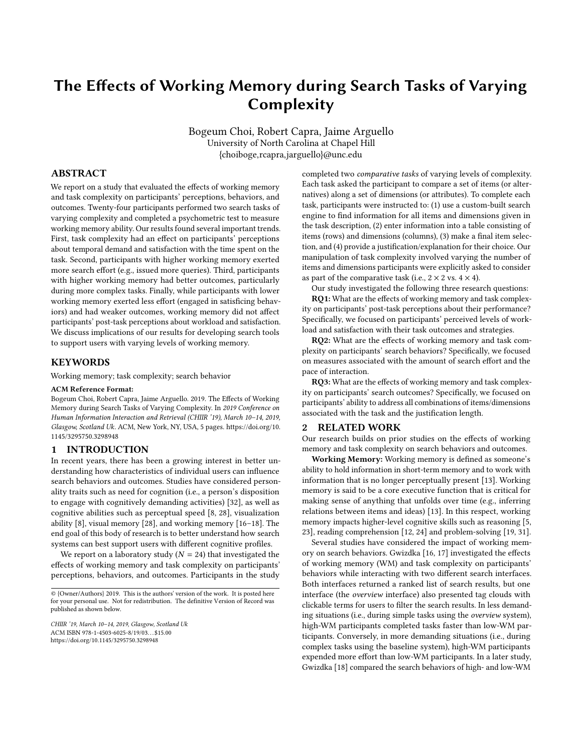# The Effects of Working Memory during Search Tasks of Varying **Complexity**

Bogeum Choi, Robert Capra, Jaime Arguello University of North Carolina at Chapel Hill {choiboge,rcapra,jarguello}@unc.edu

# ABSTRACT

We report on a study that evaluated the effects of working memory and task complexity on participants' perceptions, behaviors, and outcomes. Twenty-four participants performed two search tasks of varying complexity and completed a psychometric test to measure working memory ability. Our results found several important trends. First, task complexity had an effect on participants' perceptions about temporal demand and satisfaction with the time spent on the task. Second, participants with higher working memory exerted more search effort (e.g., issued more queries). Third, participants with higher working memory had better outcomes, particularly during more complex tasks. Finally, while participants with lower working memory exerted less effort (engaged in satisficing behaviors) and had weaker outcomes, working memory did not affect participants' post-task perceptions about workload and satisfaction. We discuss implications of our results for developing search tools to support users with varying levels of working memory.

# **KEYWORDS**

Working memory; task complexity; search behavior

#### ACM Reference Format:

Bogeum Choi, Robert Capra, Jaime Arguello. 2019. The Effects of Working Memory during Search Tasks of Varying Complexity. In 2019 Conference on Human Information Interaction and Retrieval (CHIIR '19), March 10–14, 2019, Glasgow, Scotland Uk. ACM, New York, NY, USA, [5](#page-4-0) pages. [https://doi.org/10.](https://doi.org/10.1145/3295750.3298948) [1145/3295750.3298948](https://doi.org/10.1145/3295750.3298948)

### 1 INTRODUCTION

In recent years, there has been a growing interest in better understanding how characteristics of individual users can influence search behaviors and outcomes. Studies have considered personality traits such as need for cognition (i.e., a person's disposition to engage with cognitively demanding activities) [\[32\]](#page-4-1), as well as cognitive abilities such as perceptual speed [\[8,](#page-4-2) [28\]](#page-4-3), visualization ability [\[8\]](#page-4-2), visual memory [\[28\]](#page-4-3), and working memory [\[16–](#page-4-4)[18\]](#page-4-5). The end goal of this body of research is to better understand how search systems can best support users with different cognitive profiles.

We report on a laboratory study ( $N = 24$ ) that investigated the effects of working memory and task complexity on participants' perceptions, behaviors, and outcomes. Participants in the study

© {Owner/Authors} 2019. This is the authors' version of the work. It is posted here for your personal use. Not for redistribution. The definitive Version of Record was published as shown below.

CHIIR '19, March 10–14, 2019, Glasgow, Scotland Uk ACM ISBN 978-1-4503-6025-8/19/03. . . \$15.00 <https://doi.org/10.1145/3295750.3298948>

completed two comparative tasks of varying levels of complexity. Each task asked the participant to compare a set of items (or alternatives) along a set of dimensions (or attributes). To complete each task, participants were instructed to: (1) use a custom-built search engine to find information for all items and dimensions given in the task description, (2) enter information into a table consisting of items (rows) and dimensions (columns), (3) make a final item selection, and (4) provide a justification/explanation for their choice. Our manipulation of task complexity involved varying the number of items and dimensions participants were explicitly asked to consider as part of the comparative task (i.e.,  $2 \times 2$  vs.  $4 \times 4$ ).

Our study investigated the following three research questions:

RQ1: What are the effects of working memory and task complexity on participants' post-task perceptions about their performance? Specifically, we focused on participants' perceived levels of workload and satisfaction with their task outcomes and strategies.

RQ2: What are the effects of working memory and task complexity on participants' search behaviors? Specifically, we focused on measures associated with the amount of search effort and the pace of interaction.

RQ3: What are the effects of working memory and task complexity on participants' search outcomes? Specifically, we focused on participants' ability to address all combinations of items/dimensions associated with the task and the justification length.

#### 2 RELATED WORK

Our research builds on prior studies on the effects of working memory and task complexity on search behaviors and outcomes.

Working Memory: Working memory is defined as someone's ability to hold information in short-term memory and to work with information that is no longer perceptually present [\[13\]](#page-4-6). Working memory is said to be a core executive function that is critical for making sense of anything that unfolds over time (e.g., inferring relations between items and ideas) [\[13\]](#page-4-6). In this respect, working memory impacts higher-level cognitive skills such as reasoning [\[5,](#page-4-7) [23\]](#page-4-8), reading comprehension [\[12,](#page-4-9) [24\]](#page-4-10) and problem-solving [\[19,](#page-4-11) [31\]](#page-4-12).

Several studies have considered the impact of working memory on search behaviors. Gwizdka [\[16,](#page-4-4) [17\]](#page-4-13) investigated the effects of working memory (WM) and task complexity on participants' behaviors while interacting with two different search interfaces. Both interfaces returned a ranked list of search results, but one interface (the overview interface) also presented tag clouds with clickable terms for users to filter the search results. In less demanding situations (i.e., during simple tasks using the overview system), high-WM participants completed tasks faster than low-WM participants. Conversely, in more demanding situations (i.e., during complex tasks using the baseline system), high-WM participants expended more effort than low-WM participants. In a later study, Gwizdka [\[18\]](#page-4-5) compared the search behaviors of high- and low-WM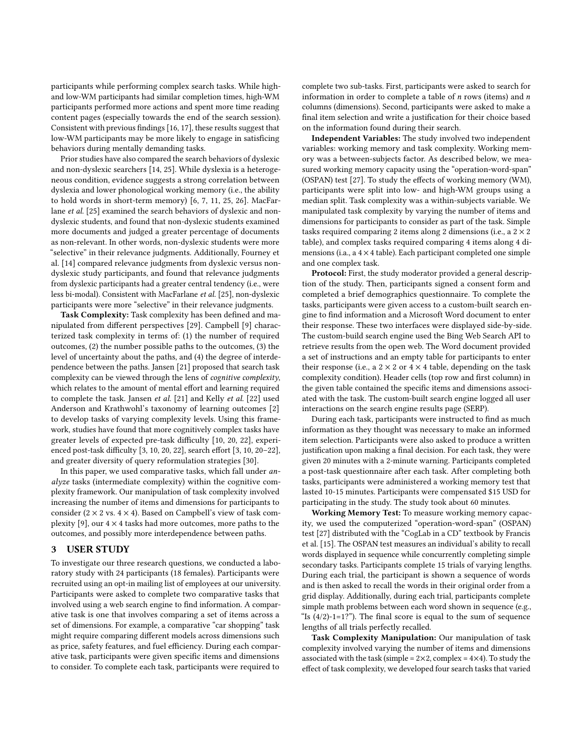participants while performing complex search tasks. While highand low-WM participants had similar completion times, high-WM participants performed more actions and spent more time reading content pages (especially towards the end of the search session). Consistent with previous findings [\[16,](#page-4-4) [17\]](#page-4-13), these results suggest that low-WM participants may be more likely to engage in satisficing behaviors during mentally demanding tasks.

Prior studies have also compared the search behaviors of dyslexic and non-dyslexic searchers [\[14,](#page-4-14) [25\]](#page-4-15). While dyslexia is a heterogeneous condition, evidence suggests a strong correlation between dyslexia and lower phonological working memory (i.e., the ability to hold words in short-term memory) [\[6,](#page-4-16) [7,](#page-4-17) [11,](#page-4-18) [25,](#page-4-15) [26\]](#page-4-19). MacFarlane et al. [\[25\]](#page-4-15) examined the search behaviors of dyslexic and nondyslexic students, and found that non-dyslexic students examined more documents and judged a greater percentage of documents as non-relevant. In other words, non-dyslexic students were more "selective" in their relevance judgments. Additionally, Fourney et al. [\[14\]](#page-4-14) compared relevance judgments from dyslexic versus nondyslexic study participants, and found that relevance judgments from dyslexic participants had a greater central tendency (i.e., were less bi-modal). Consistent with MacFarlane et al. [\[25\]](#page-4-15), non-dyslexic participants were more "selective" in their relevance judgments.

Task Complexity: Task complexity has been defined and manipulated from different perspectives [\[29\]](#page-4-20). Campbell [\[9\]](#page-4-21) characterized task complexity in terms of: (1) the number of required outcomes, (2) the number possible paths to the outcomes, (3) the level of uncertainty about the paths, and (4) the degree of interdependence between the paths. Jansen [\[21\]](#page-4-22) proposed that search task complexity can be viewed through the lens of cognitive complexity, which relates to the amount of mental effort and learning required to complete the task. Jansen et al. [\[21\]](#page-4-22) and Kelly et al. [\[22\]](#page-4-23) used Anderson and Krathwohl's taxonomy of learning outcomes [\[2\]](#page-4-24) to develop tasks of varying complexity levels. Using this framework, studies have found that more cognitively complex tasks have greater levels of expected pre-task difficulty [\[10,](#page-4-25) [20,](#page-4-26) [22\]](#page-4-23), experienced post-task difficulty [\[3,](#page-4-27) [10,](#page-4-25) [20,](#page-4-26) [22\]](#page-4-23), search effort [\[3,](#page-4-27) [10,](#page-4-25) [20–](#page-4-26)[22\]](#page-4-23), and greater diversity of query reformulation strategies [\[30\]](#page-4-28).

In this paper, we used comparative tasks, which fall under analyze tasks (intermediate complexity) within the cognitive complexity framework. Our manipulation of task complexity involved increasing the number of items and dimensions for participants to consider ( $2 \times 2$  vs.  $4 \times 4$ ). Based on Campbell's view of task com-plexity [\[9\]](#page-4-21), our  $4 \times 4$  tasks had more outcomes, more paths to the outcomes, and possibly more interdependence between paths.

# 3 USER STUDY

To investigate our three research questions, we conducted a laboratory study with 24 participants (18 females). Participants were recruited using an opt-in mailing list of employees at our university. Participants were asked to complete two comparative tasks that involved using a web search engine to find information. A comparative task is one that involves comparing a set of items across a set of dimensions. For example, a comparative "car shopping" task might require comparing different models across dimensions such as price, safety features, and fuel efficiency. During each comparative task, participants were given specific items and dimensions to consider. To complete each task, participants were required to

complete two sub-tasks. First, participants were asked to search for information in order to complete a table of  $n$  rows (items) and  $n$ columns (dimensions). Second, participants were asked to make a final item selection and write a justification for their choice based on the information found during their search.

Independent Variables: The study involved two independent variables: working memory and task complexity. Working memory was a between-subjects factor. As described below, we measured working memory capacity using the "operation-word-span" (OSPAN) test [\[27\]](#page-4-29). To study the effects of working memory (WM), participants were split into low- and high-WM groups using a median split. Task complexity was a within-subjects variable. We manipulated task complexity by varying the number of items and dimensions for participants to consider as part of the task. Simple tasks required comparing 2 items along 2 dimensions (i.e., a  $2 \times 2$ table), and complex tasks required comparing 4 items along 4 dimensions (i.a., a  $4 \times 4$  table). Each participant completed one simple and one complex task.

Protocol: First, the study moderator provided a general description of the study. Then, participants signed a consent form and completed a brief demographics questionnaire. To complete the tasks, participants were given access to a custom-built search engine to find information and a Microsoft Word document to enter their response. These two interfaces were displayed side-by-side. The custom-build search engine used the Bing Web Search API to retrieve results from the open web. The Word document provided a set of instructions and an empty table for participants to enter their response (i.e., a  $2 \times 2$  or  $4 \times 4$  table, depending on the task complexity condition). Header cells (top row and first column) in the given table contained the specific items and dimensions associated with the task. The custom-built search engine logged all user interactions on the search engine results page (SERP).

During each task, participants were instructed to find as much information as they thought was necessary to make an informed item selection. Participants were also asked to produce a written justification upon making a final decision. For each task, they were given 20 minutes with a 2-minute warning. Participants completed a post-task questionnaire after each task. After completing both tasks, participants were administered a working memory test that lasted 10-15 minutes. Participants were compensated \$15 USD for participating in the study. The study took about 60 minutes.

Working Memory Test: To measure working memory capacity, we used the computerized "operation-word-span" (OSPAN) test [\[27\]](#page-4-29) distributed with the "CogLab in a CD" textbook by Francis et al. [\[15\]](#page-4-30). The OSPAN test measures an individual's ability to recall words displayed in sequence while concurrently completing simple secondary tasks. Participants complete 15 trials of varying lengths. During each trial, the participant is shown a sequence of words and is then asked to recall the words in their original order from a grid display. Additionally, during each trial, participants complete simple math problems between each word shown in sequence (e.g., "Is  $(4/2)$ -1=1?"). The final score is equal to the sum of sequence lengths of all trials perfectly recalled.

Task Complexity Manipulation: Our manipulation of task complexity involved varying the number of items and dimensions associated with the task (simple =  $2 \times 2$ , complex =  $4 \times 4$ ). To study the effect of task complexity, we developed four search tasks that varied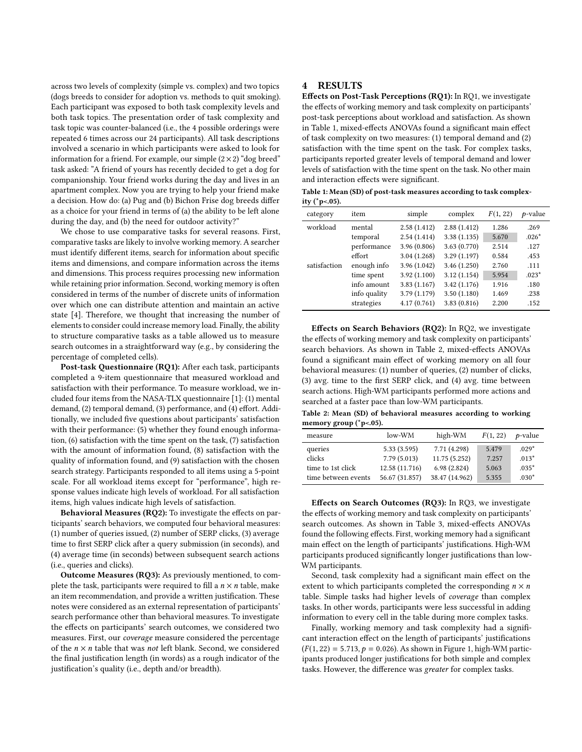across two levels of complexity (simple vs. complex) and two topics (dogs breeds to consider for adoption vs. methods to quit smoking). Each participant was exposed to both task complexity levels and both task topics. The presentation order of task complexity and task topic was counter-balanced (i.e., the 4 possible orderings were repeated 6 times across our 24 participants). All task descriptions involved a scenario in which participants were asked to look for information for a friend. For example, our simple  $(2 \times 2)$  "dog breed" task asked: "A friend of yours has recently decided to get a dog for companionship. Your friend works during the day and lives in an apartment complex. Now you are trying to help your friend make a decision. How do: (a) Pug and (b) Bichon Frise dog breeds differ as a choice for your friend in terms of (a) the ability to be left alone during the day, and (b) the need for outdoor activity?"

We chose to use comparative tasks for several reasons. First, comparative tasks are likely to involve working memory. A searcher must identify different items, search for information about specific items and dimensions, and compare information across the items and dimensions. This process requires processing new information while retaining prior information. Second, working memory is often considered in terms of the number of discrete units of information over which one can distribute attention and maintain an active state [\[4\]](#page-4-31). Therefore, we thought that increasing the number of elements to consider could increase memory load. Finally, the ability to structure comparative tasks as a table allowed us to measure search outcomes in a straightforward way (e.g., by considering the percentage of completed cells).

Post-task Questionnaire (RQ1): After each task, participants completed a 9-item questionnaire that measured workload and satisfaction with their performance. To measure workload, we included four items from the NASA-TLX questionnaire [\[1\]](#page-4-32): (1) mental demand, (2) temporal demand, (3) performance, and (4) effort. Additionally, we included five questions about participants' satisfaction with their performance: (5) whether they found enough information, (6) satisfaction with the time spent on the task, (7) satisfaction with the amount of information found, (8) satisfaction with the quality of information found, and (9) satisfaction with the chosen search strategy. Participants responded to all items using a 5-point scale. For all workload items except for "performance", high response values indicate high levels of workload. For all satisfaction items, high values indicate high levels of satisfaction.

Behavioral Measures (RQ2): To investigate the effects on participants' search behaviors, we computed four behavioral measures: (1) number of queries issued, (2) number of SERP clicks, (3) average time to first SERP click after a query submission (in seconds), and (4) average time (in seconds) between subsequent search actions (i.e., queries and clicks).

Outcome Measures (RQ3): As previously mentioned, to complete the task, participants were required to fill a  $n \times n$  table, make an item recommendation, and provide a written justification. These notes were considered as an external representation of participants' search performance other than behavioral measures. To investigate the effects on participants' search outcomes, we considered two measures. First, our coverage measure considered the percentage of the  $n \times n$  table that was not left blank. Second, we considered the final justification length (in words) as a rough indicator of the justification's quality (i.e., depth and/or breadth).

## 4 RESULTS

Effects on Post-Task Perceptions (RQ1): In RQ1, we investigate the effects of working memory and task complexity on participants' post-task perceptions about workload and satisfaction. As shown in Table [1,](#page-2-0) mixed-effects ANOVAs found a significant main effect of task complexity on two measures: (1) temporal demand and (2) satisfaction with the time spent on the task. For complex tasks, participants reported greater levels of temporal demand and lower levels of satisfaction with the time spent on the task. No other main and interaction effects were significant.

<span id="page-2-0"></span>Table 1: Mean (SD) of post-task measures according to task complexity  $(^*p<.05)$ .

| .            |              |              |             |          |            |
|--------------|--------------|--------------|-------------|----------|------------|
| category     | item         | simple       | complex     | F(1, 22) | $p$ -value |
| workload     | mental       | 2.58(1.412)  | 2.88(1.412) | 1.286    | .269       |
|              | temporal     | 2.54(1.414)  | 3.38(1.135) | 5.670    | $.026*$    |
|              | performance  | 3.96 (0.806) | 3.63(0.770) | 2.514    | .127       |
|              | effort       | 3.04(1.268)  | 3.29(1.197) | 0.584    | .453       |
| satisfaction | enough info  | 3.96 (1.042) | 3.46(1.250) | 2.760    | .111       |
|              | time spent   | 3.92(1.100)  | 3.12(1.154) | 5.954    | $.023*$    |
|              | info amount  | 3.83(1.167)  | 3.42(1.176) | 1.916    | .180       |
|              | info quality | 3.79 (1.179) | 3.50(1.180) | 1.469    | .238       |
|              | strategies   | 4.17(0.761)  | 3.83(0.816) | 2.200    | .152       |

Effects on Search Behaviors (RQ2): In RQ2, we investigate the effects of working memory and task complexity on participants' search behaviors. As shown in Table [2,](#page-2-1) mixed-effects ANOVAs found a significant main effect of working memory on all four behavioral measures: (1) number of queries, (2) number of clicks, (3) avg. time to the first SERP click, and (4) avg. time between search actions. High-WM participants performed more actions and searched at a faster pace than low-WM participants.

<span id="page-2-1"></span>Table 2: Mean (SD) of behavioral measures according to working memory group (\*p<.05).

| measure             | low-WM         | high-WM        | F(1, 22) | $p$ -value |
|---------------------|----------------|----------------|----------|------------|
| queries             | 5.33 (3.595)   | 7.71 (4.298)   | 5.479    | $.029*$    |
| clicks              | 7.79(5.013)    | 11.75 (5.252)  | 7.257    | $.013*$    |
| time to 1st click   | 12.58 (11.716) | 6.98(2.824)    | 5.063    | $.035*$    |
| time between events | 56.67 (31.857) | 38.47 (14.962) | 5.355    | $.030*$    |

Effects on Search Outcomes (RQ3): In RQ3, we investigate the effects of working memory and task complexity on participants' search outcomes. As shown in Table [3,](#page-3-0) mixed-effects ANOVAs found the following effects. First, working memory had a significant main effect on the length of participants' justifications. High-WM participants produced significantly longer justifications than low-WM participants.

Second, task complexity had a significant main effect on the extent to which participants completed the corresponding  $n \times n$ table. Simple tasks had higher levels of coverage than complex tasks. In other words, participants were less successful in adding information to every cell in the table during more complex tasks.

Finally, working memory and task complexity had a significant interaction effect on the length of participants' justifications  $(F(1, 22) = 5.713, p = 0.026)$ . As shown in Figure [1,](#page-3-1) high-WM participants produced longer justifications for both simple and complex tasks. However, the difference was greater for complex tasks.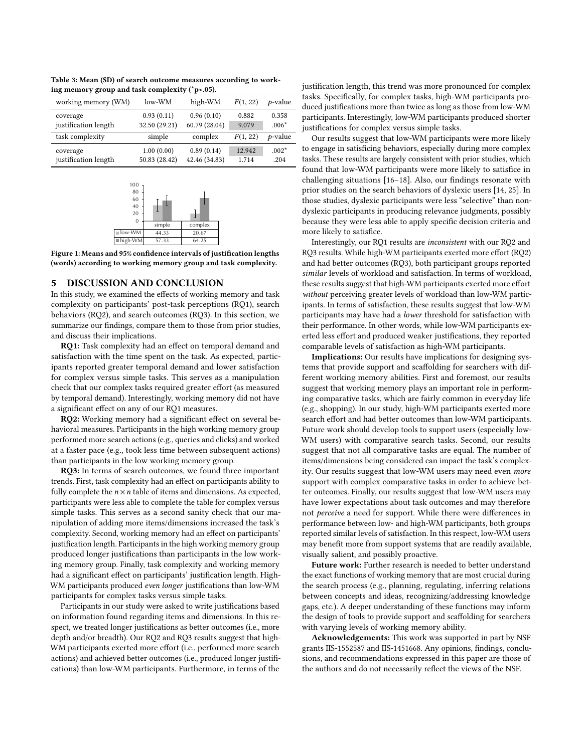<span id="page-3-0"></span>Table 3: Mean (SD) of search outcome measures according to working memory group and task complexity (\*p<.05).

| working memory (WM)  | $low-WM$      | high-WM       | F(1, 22) | $p$ -value |
|----------------------|---------------|---------------|----------|------------|
| coverage             | 0.93(0.11)    | 0.96(0.10)    | 0.882    | 0.358      |
| justification length | 32.50 (29.21) | 60.79 (28.04) | 9.079    | $.006*$    |
| task complexity      | simple        | complex       | F(1, 22) | $p$ -value |
| coverage             | 1.00(0.00)    | 0.89(0.14)    | 12.942   | $.002*$    |
| justification length | 50.83 (28.42) | 42.46 (34.83) | 1.714    | .204       |

<span id="page-3-1"></span>

Figure 1: Means and 95% confidence intervals of justification lengths (words) according to working memory group and task complexity.

# 5 DISCUSSION AND CONCLUSION

In this study, we examined the effects of working memory and task complexity on participants' post-task perceptions (RQ1), search behaviors (RQ2), and search outcomes (RQ3). In this section, we summarize our findings, compare them to those from prior studies, and discuss their implications.

RQ1: Task complexity had an effect on temporal demand and satisfaction with the time spent on the task. As expected, participants reported greater temporal demand and lower satisfaction for complex versus simple tasks. This serves as a manipulation check that our complex tasks required greater effort (as measured by temporal demand). Interestingly, working memory did not have a significant effect on any of our RQ1 measures.

RQ2: Working memory had a significant effect on several behavioral measures. Participants in the high working memory group performed more search actions (e.g., queries and clicks) and worked at a faster pace (e.g., took less time between subsequent actions) than participants in the low working memory group.

RQ3: In terms of search outcomes, we found three important trends. First, task complexity had an effect on participants ability to fully complete the  $n \times n$  table of items and dimensions. As expected, participants were less able to complete the table for complex versus simple tasks. This serves as a second sanity check that our manipulation of adding more items/dimensions increased the task's complexity. Second, working memory had an effect on participants' justification length. Participants in the high working memory group produced longer justifications than participants in the low working memory group. Finally, task complexity and working memory had a significant effect on participants' justification length. High-WM participants produced even longer justifications than low-WM participants for complex tasks versus simple tasks.

Participants in our study were asked to write justifications based on information found regarding items and dimensions. In this respect, we treated longer justifications as better outcomes (i.e., more depth and/or breadth). Our RQ2 and RQ3 results suggest that high-WM participants exerted more effort (i.e., performed more search actions) and achieved better outcomes (i.e., produced longer justifications) than low-WM participants. Furthermore, in terms of the

justification length, this trend was more pronounced for complex tasks. Specifically, for complex tasks, high-WM participants produced justifications more than twice as long as those from low-WM participants. Interestingly, low-WM participants produced shorter justifications for complex versus simple tasks.

Our results suggest that low-WM participants were more likely to engage in satisficing behaviors, especially during more complex tasks. These results are largely consistent with prior studies, which found that low-WM participants were more likely to satisfice in challenging situations [\[16–](#page-4-4)[18\]](#page-4-5). Also, our findings resonate with prior studies on the search behaviors of dyslexic users [\[14,](#page-4-14) [25\]](#page-4-15). In those studies, dyslexic participants were less "selective" than nondyslexic participants in producing relevance judgments, possibly because they were less able to apply specific decision criteria and more likely to satisfice.

Interestingly, our RQ1 results are inconsistent with our RQ2 and RQ3 results. While high-WM participants exerted more effort (RQ2) and had better outcomes (RQ3), both participant groups reported similar levels of workload and satisfaction. In terms of workload, these results suggest that high-WM participants exerted more effort without perceiving greater levels of workload than low-WM participants. In terms of satisfaction, these results suggest that low-WM participants may have had a lower threshold for satisfaction with their performance. In other words, while low-WM participants exerted less effort and produced weaker justifications, they reported comparable levels of satisfaction as high-WM participants.

Implications: Our results have implications for designing systems that provide support and scaffolding for searchers with different working memory abilities. First and foremost, our results suggest that working memory plays an important role in performing comparative tasks, which are fairly common in everyday life (e.g., shopping). In our study, high-WM participants exerted more search effort and had better outcomes than low-WM participants. Future work should develop tools to support users (especially low-WM users) with comparative search tasks. Second, our results suggest that not all comparative tasks are equal. The number of items/dimensions being considered can impact the task's complexity. Our results suggest that low-WM users may need even more support with complex comparative tasks in order to achieve better outcomes. Finally, our results suggest that low-WM users may have lower expectations about task outcomes and may therefore not perceive a need for support. While there were differences in performance between low- and high-WM participants, both groups reported similar levels of satisfaction. In this respect, low-WM users may benefit more from support systems that are readily available, visually salient, and possibly proactive.

Future work: Further research is needed to better understand the exact functions of working memory that are most crucial during the search process (e.g., planning, regulating, inferring relations between concepts and ideas, recognizing/addressing knowledge gaps, etc.). A deeper understanding of these functions may inform the design of tools to provide support and scaffolding for searchers with varying levels of working memory ability.

Acknowledgements: This work was supported in part by NSF grants IIS-1552587 and IIS-1451668. Any opinions, findings, conclusions, and recommendations expressed in this paper are those of the authors and do not necessarily reflect the views of the NSF.